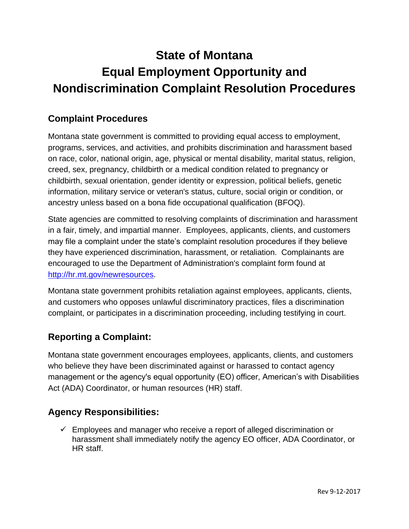# **State of Montana Equal Employment Opportunity and Nondiscrimination Complaint Resolution Procedures**

## **Complaint Procedures**

Montana state government is committed to providing equal access to employment, programs, services, and activities, and prohibits discrimination and harassment based on race, color, national origin, age, physical or mental disability, marital status, religion, creed, sex, pregnancy, childbirth or a medical condition related to pregnancy or childbirth, sexual orientation, gender identity or expression, political beliefs, genetic information, military service or veteran's status, culture, social origin or condition, or ancestry unless based on a bona fide occupational qualification (BFOQ).

State agencies are committed to resolving complaints of discrimination and harassment in a fair, timely, and impartial manner. Employees, applicants, clients, and customers may file a complaint under the state's complaint resolution procedures if they believe they have experienced discrimination, harassment, or retaliation. Complainants are encouraged to use the Department of Administration's complaint form found at [http://hr.mt.gov/newresources.](http://hr.mt.gov/newresources)

Montana state government prohibits retaliation against employees, applicants, clients, and customers who opposes unlawful discriminatory practices, files a discrimination complaint, or participates in a discrimination proceeding, including testifying in court.

## **Reporting a Complaint:**

Montana state government encourages employees, applicants, clients, and customers who believe they have been discriminated against or harassed to contact agency management or the agency's equal opportunity (EO) officer, American's with Disabilities Act (ADA) Coordinator, or human resources (HR) staff.

#### **Agency Responsibilities:**

 $\checkmark$  Employees and manager who receive a report of alleged discrimination or harassment shall immediately notify the agency EO officer, ADA Coordinator, or HR staff.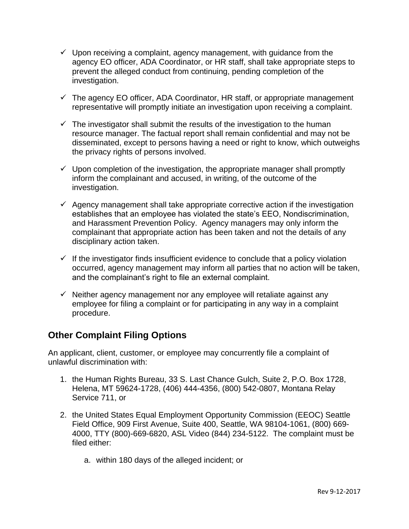- $\checkmark$  Upon receiving a complaint, agency management, with guidance from the agency EO officer, ADA Coordinator, or HR staff, shall take appropriate steps to prevent the alleged conduct from continuing, pending completion of the investigation.
- $\checkmark$  The agency EO officer, ADA Coordinator, HR staff, or appropriate management representative will promptly initiate an investigation upon receiving a complaint.
- $\checkmark$  The investigator shall submit the results of the investigation to the human resource manager. The factual report shall remain confidential and may not be disseminated, except to persons having a need or right to know, which outweighs the privacy rights of persons involved.
- $\checkmark$  Upon completion of the investigation, the appropriate manager shall promptly inform the complainant and accused, in writing, of the outcome of the investigation.
- $\checkmark$  Agency management shall take appropriate corrective action if the investigation establishes that an employee has violated the state's EEO, Nondiscrimination, and Harassment Prevention Policy. Agency managers may only inform the complainant that appropriate action has been taken and not the details of any disciplinary action taken.
- $\checkmark$  If the investigator finds insufficient evidence to conclude that a policy violation occurred, agency management may inform all parties that no action will be taken, and the complainant's right to file an external complaint.
- $\checkmark$  Neither agency management nor any employee will retaliate against any employee for filing a complaint or for participating in any way in a complaint procedure.

#### **Other Complaint Filing Options**

An applicant, client, customer, or employee may concurrently file a complaint of unlawful discrimination with:

- 1. the Human Rights Bureau, 33 S. Last Chance Gulch, Suite 2, P.O. Box 1728, Helena, MT 59624-1728, (406) 444-4356, (800) 542-0807, Montana Relay Service 711, or
- 2. the United States Equal Employment Opportunity Commission (EEOC) Seattle Field Office, 909 First Avenue, Suite 400, Seattle, WA 98104-1061, (800) 669- 4000, TTY (800)-669-6820, ASL Video (844) 234-5122. The complaint must be filed either:
	- a. within 180 days of the alleged incident; or